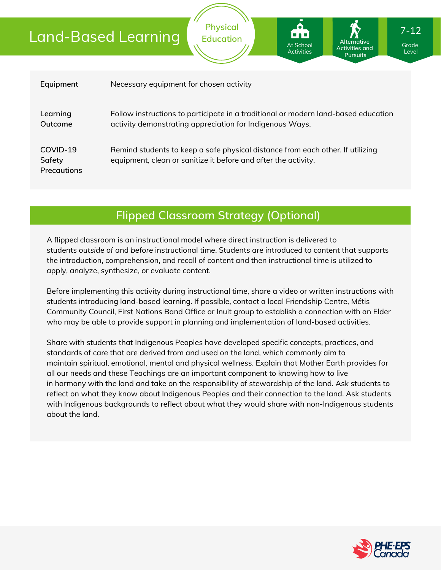| Equipment                                | Necessary equipment for chosen activity                                                                                                          |
|------------------------------------------|--------------------------------------------------------------------------------------------------------------------------------------------------|
| Learning<br>Outcome                      | Follow instructions to participate in a traditional or modern land-based education<br>activity demonstrating appreciation for Indigenous Ways.   |
| COVID-19<br>Safety<br><b>Precautions</b> | Remind students to keep a safe physical distance from each other. If utilizing<br>equipment, clean or sanitize it before and after the activity. |

**Physical Education**

## **Flipped Classroom Strategy (Optional)**

A flipped classroom is an instructional model where direct instruction is delivered to students *outside of* and *before* instructional time. Students are introduced to content that supports the introduction, comprehension, and recall of content and then instructional time is utilized to apply, analyze, synthesize, or evaluate content.

Before implementing this activity during instructional time, share a video or written instructions with students introducing land-based learning. If possible, contact a local Friendship Centre, Métis Community Council, First Nations Band Office or Inuit group to establish a connection with an Elder who may be able to provide support in planning and implementation of land-based activities.

Share with students that Indigenous Peoples have developed specific concepts, practices, and standards of care that are derived from and used on the land, which commonly aim to maintain spiritual, emotional, mental and physical wellness. Explain that Mother Earth provides for all our needs and these Teachings are an important component to knowing how to live in harmony with the land and take on the responsibility of stewardship of the land. Ask students to reflect on what they know about Indigenous Peoples and their connection to the land. Ask students with Indigenous backgrounds to reflect about what they would share with non-Indigenous students about the land.



Grade Grade Level Level

7-12

Activities and **Pursuits** 

**Alternative**

At School At School Activities Activities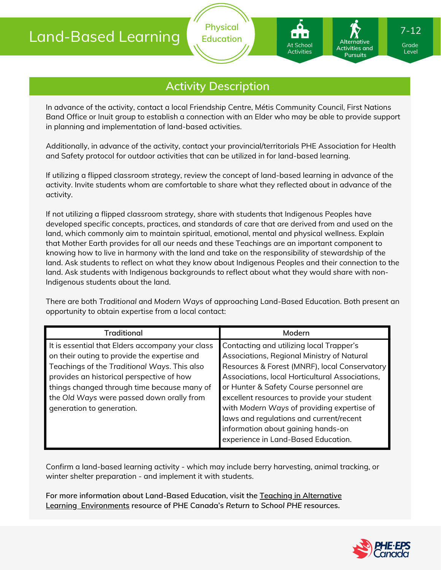

**Physical Education**

In advance of the activity, contact a local Friendship Centre, Métis Community Council, First Nations Band Office or Inuit group to establish a connection with an Elder who may be able to provide support in planning and implementation of land-based activities.

Additionally, in advance of the activity, contact your provincial/territorials PHE Association for Health and Safety protocol for outdoor activities that can be utilized in for land-based learning.

If utilizing a flipped classroom strategy, review the concept of land-based learning in advance of the activity. Invite students whom are comfortable to share what they reflected about in advance of the activity.

If not utilizing a flipped classroom strategy, share with students that Indigenous Peoples have developed specific concepts, practices, and standards of care that are derived from and used on the land, which commonly aim to maintain spiritual, emotional, mental and physical wellness. Explain that Mother Earth provides for all our needs and these Teachings are an important component to knowing how to live in harmony with the land and take on the responsibility of stewardship of the land. Ask students to reflect on what they know about Indigenous Peoples and their connection to the land. Ask students with Indigenous backgrounds to reflect about what they would share with non-Indigenous students about the land.

There are both *Traditional* and *Modern Ways* of approaching Land-Based Education. Both present an opportunity to obtain expertise from a local contact:

| <b>Traditional</b>                                                                                                                                                                            | Modern                                                                                                                                                                                                                                                       |  |
|-----------------------------------------------------------------------------------------------------------------------------------------------------------------------------------------------|--------------------------------------------------------------------------------------------------------------------------------------------------------------------------------------------------------------------------------------------------------------|--|
| It is essential that Elders accompany your class<br>on their outing to provide the expertise and<br>Teachings of the Traditional Ways. This also<br>provides an historical perspective of how | Contacting and utilizing local Trapper's<br>Associations, Regional Ministry of Natural<br>Resources & Forest (MNRF), local Conservatory<br>Associations, local Horticultural Associations,                                                                   |  |
| things changed through time because many of<br>the Old Ways were passed down orally from<br>generation to generation.                                                                         | or Hunter & Safety Course personnel are<br>excellent resources to provide your student<br>with Modern Ways of providing expertise of<br>laws and regulations and current/recent<br>information about gaining hands-on<br>experience in Land-Based Education. |  |

Confirm a land-based learning activity - which may include berry harvesting, animal tracking, or winter shelter preparation - and implement it with students.

**For more information about Land-Based Education, visit the Teaching in Alternative Learning [Environments](https://phecanada.ca/sites/default/files/content/images/PHE%20at%20Home/Teaching%20in%20Alternative%20Learning%20Environments.pdf) resource of PHE Canada's** *Return to School PHE* **resources.**



Grade Grade Level Level

7-12

Activities and **Pursuits** 

**Alternative**

At School At School Activities Activities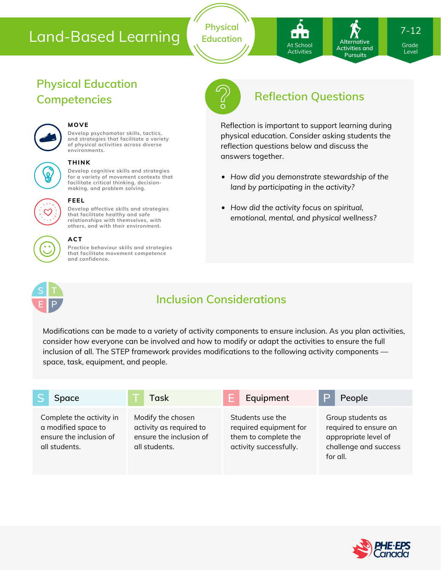**Physical Education** At School At School Activities Activities

Activities and **Pursuits** 

**Alternative**

7-12

Grade Grade Level Level

# **Physical Education**



#### **MOVE**

**Develop psychomotor skills, tactics, and strategies that facilitate a variety of physical activities across diverse environments.**

#### **THINK**

**Develop cognitive skills and strategies for a variety of movement contexts that facilitate critical thinking, decision making, and problem solving.**



### **FEEL**

**Develop affective skills and strategies that facilitate healthy and safe relationships with themselves, with others, and with their environment.**

#### **ACT**

**Practice behaviour skills and strategies that facilitate movement competence and confidence.**



# **Competencies Reflection Questions**

Reflection is important to support learning during physical education. Consider asking students the reflection questions below and discuss the answers together.

- *How did you demonstrate stewardship of the land by participating in the activity?*
- *How did the activity focus on spiritual, emotional, mental, and physical wellness?*



# **Inclusion Considerations**

Modifications can be made to a variety of activity components to ensure inclusion. As you plan activities, consider how everyone can be involved and how to modify or adapt the activities to ensure the full inclusion of all. The STEP framework provides modifications to the following activity components space, task, equipment, and people.

| Space                                                                                       | Task                                                                                     | Equipment                                                                                    | People                                                                                                  |
|---------------------------------------------------------------------------------------------|------------------------------------------------------------------------------------------|----------------------------------------------------------------------------------------------|---------------------------------------------------------------------------------------------------------|
| Complete the activity in<br>a modified space to<br>ensure the inclusion of<br>all students. | Modify the chosen<br>activity as required to<br>ensure the inclusion of<br>all students. | Students use the<br>required equipment for<br>them to complete the<br>activity successfully. | Group students as<br>required to ensure an<br>appropriate level of<br>challenge and success<br>for all. |